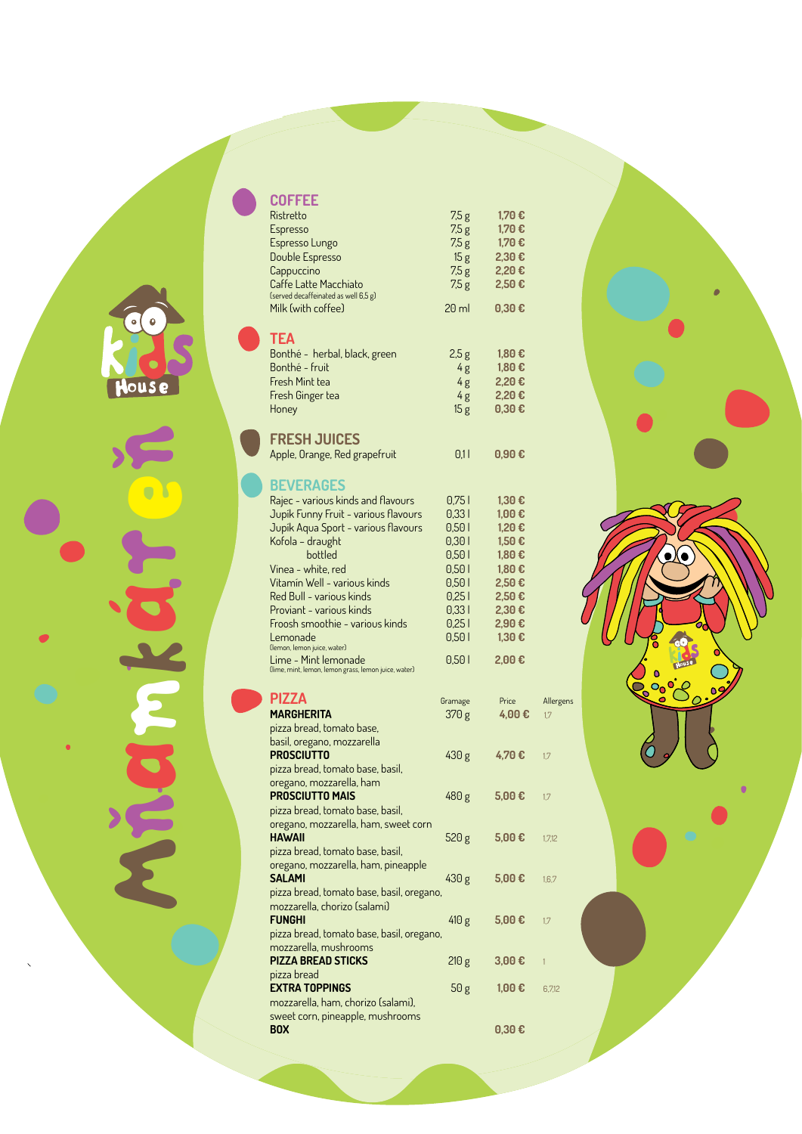## $\bullet$

Hous e

Mnamkaren

 $\overline{\phantom{0}}$ 

Ristretto 7,5 g **1,70 €** Espresso 7,5 g **1,70 €** Espresso Lungo 7,5 g **1,70 €** Double Espresso 15 g **2,30 €** Cappuccino 7,5 g **2,20 €** Caffe Latte Macchiato 7,5 g **2,50 €** (served decaffeinated as well 6,5 g) Milk (with coffee) 20 ml **0,30 € Tea** Bonthé - herbal, black, green 2,5 g **1,80 € Bonthé - fruit 4g 1,80 €**<br>Fresh Mint tea 4g 2,20 € Fresh Mint tea 4 g **2,20 €** Fresh Ginger tea 4g **2,20 €** Honey 15 g **0,30 € Fresh Juices** Apple, Orange, Red grapefruit 0,1 **0,90 € Beverages** Rajec - various kinds and flavours 0,75 l **1,30 €** Jupík Funny Fruit - various flavours 0,33 l **1,00 €** Jupík Aqua Sport - various flavours 0,50 l **1,20 €** Kofola – draught 0,30 l **1,50 €** bottled 0,50 l **1,80 €** Vinea - white, red 0,50 l **1,80 €** Vitamín Well - various kinds 0,50 l **2,50 €** Red Bull - various kinds 0,25 l **2,50 €** Proviant - various kinds 0,33 l **2,30 €** Froosh smoothie - various kinds 0,25 l **2,90 €** Lemonade 0,50 l **1,30 €** (lemon, lemon juice, water) Lime - Mint lemonade 0,50 l **2,00 €** (lime, mint, lemon, lemon grass, lemon juice, water) **PIZZA Gramage** Price Allergens **MARGHERITA** 370 g 4,00 € 1,7 pizza bread, tomato base, basil, oregano, mozzarella **PROSCIUTTO** 430 g **4,70 €** 1,7 pizza bread, tomato base, basil, oregano, mozzarella, ham **PROSCIUTTO MAIS** 480 g 5,00 € 1,7

**Coffee** 

pizza bread, tomato base, basil, oregano, mozzarella, ham, sweet corn **HAWAII** 520 g 5,00 € 1,7,12 pizza bread, tomato base, basil,

| ſ<br>٢<br><b>OOO</b><br>$\bullet$ | С<br>o<br>$-0.5$<br>099<br>$\ddot{\phantom{0}}$ |
|-----------------------------------|-------------------------------------------------|
| ŗ                                 | $\bullet$<br>$\bigcirc$                         |

| oregano, mozzarella, ham, pineapple<br><b>SALAMI</b> | 430 g | $5,00 \in$               | 1.6.7  |
|------------------------------------------------------|-------|--------------------------|--------|
| pizza bread, tomato base, basil, oregano,            |       |                          |        |
| mozzarella, chorizo (salami)                         |       |                          |        |
| <b>FUNGHI</b>                                        | 410 g | $5,00 \in$               | 1.7    |
| pizza bread, tomato base, basil, oregano,            |       |                          |        |
| mozzarella, mushrooms                                |       |                          |        |
| <b>PIZZA BREAD STICKS</b>                            | 210 g | 3,00€                    |        |
| pizza bread                                          |       |                          |        |
| <b>EXTRA TOPPINGS</b>                                | 50 g  | 1,00€                    | 6.7.12 |
| mozzarella, ham, chorizo (salami),                   |       |                          |        |
| sweet corn, pineapple, mushrooms                     |       |                          |        |
| <b>BOX</b>                                           |       | $0.30 \text{ } \epsilon$ |        |
|                                                      |       |                          |        |